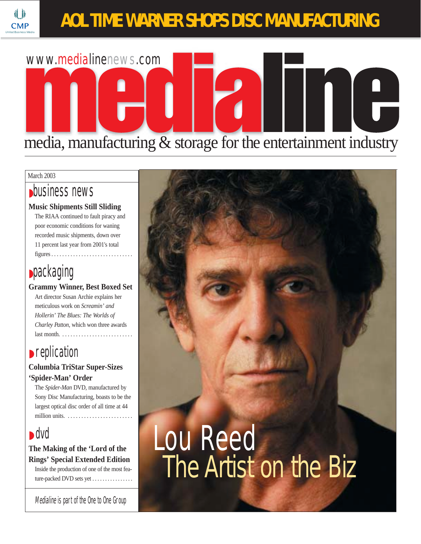## **AOL TIME WARNER SHOPS DISC MANUFACTURING**



#### March 2003

**CMF** 

### ◗business news

#### **Music Shipments Still Sliding**

The RIAA continued to fault piracy and poor economic conditions for waning recorded music shipments, down over 11 percent last year from 2001's total  $figures \ldots \ldots \ldots \ldots \ldots \ldots \ldots$ 

## **•packaging**

**Grammy Winner, Best Boxed Set** Art director Susan Archie explains her meticulous work on *Screamin' and Hollerin' The Blues: The Worlds of Charley Patton,* which won three awards last month. . . . . . . . . . . . . . . . . . . . . . . . . . .

## **▶ replication**

#### **Columbia TriStar Super-Sizes 'Spider-Man' Order**

The *Spider-Man* DVD, manufactured by Sony Disc Manufacturing, boasts to be the largest optical disc order of all time at 44 million units.  $\dots \dots \dots \dots$ 

## ◗ dvd

**The Making of the 'Lord of the Rings' Special Extended Edition**

Inside the production of one of the most feature-packed DVD sets yet . . . . . . . . . . . . . . .

Medialine is part of the One to One Group

## Lou Reed The Artist on the Biz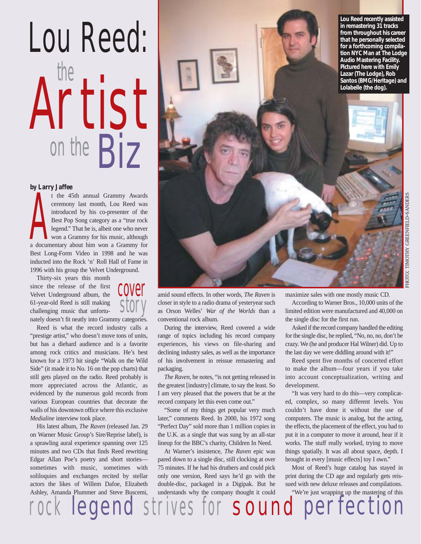# Artist on the **Biz** the Lou Reed:

#### **by Larry Jaffee**

A documentary about him won a Grammy Awards<br>and the 45th annual Grammy Awards<br>ceremony last month, Lou Reed was<br>introduced by his co-presenter of the<br>Best Pop Song category as a "true rock<br>legend." That he is, albeit one w t the 45th annual Grammy Awards ceremony last month, Lou Reed was introduced by his co-presenter of the Best Pop Song category as a "true rock legend." That he is, albeit one who never won a Grammy for his music, although Best Long-Form Video in 1998 and he was inducted into the Rock 'n' Roll Hall of Fame in 1996 with his group the Velvet Underground.

Thirty-six years this month since the release of the first Velvet Underground album, the 61-year-old Reed is still making challenging music that unfortunately doesn't fit neatly into Grammy categories.



Reed is what the record industry calls a "prestige artist," who doesn't move tons of units, but has a diehard audience and is a favorite among rock critics and musicians. He's best known for a 1973 hit single "Walk on the Wild Side" (it made it to No. 16 on the pop charts) that still gets played on the radio. Reed probably is more appreciated across the Atlantic, as evidenced by the numerous gold records from various European countries that decorate the walls of his downtown office where this exclusive *Medialine* interview took place.

His latest album, *The Raven* (released Jan. 29 on Warner Music Group's Sire/Reprise label), is a sprawling aural experience spanning over 125 minutes and two CDs that finds Reed rewriting Edgar Allan Poe's poetry and short stories sometimes with music, sometimes with soliloquies and exchanges recited by stellar actors the likes of Willem Dafoe, Elizabeth Ashley, Amanda Plummer and Steve Buscemi,



amid sound effects. In other words, *The Raven* is closer in style to a radio drama of yesteryear such as Orson Welles' *War of the Worlds* than a conventional rock album.

During the interview, Reed covered a wide range of topics including his record company experiences, his views on file-sharing and declining industry sales, as well as the importance of his involvement in reissue remastering and packaging.

*The Raven*, he notes, "is not getting released in the greatest [industry] climate, to say the least. So I am very pleased that the powers that be at the record company let this even come out."

"Some of my things get popular very much later," comments Reed. In 2000, his 1972 song "Perfect Day" sold more than 1 million copies in the U.K. as a single that was sung by an all-star lineup for the BBC's charity, Children In Need.

At Warner's insistence, *The Raven* epic was pared down to a single disc, still clocking at over 75 minutes. If he had his druthers and could pick only one version, Reed says he'd go with the double-disc, packaged in a Digipak. But he understands why the company thought it could maximize sales with one mostly music CD.

According to Warner Bros., 10,000 units of the limited edition were manufactured and 40,000 on the single disc for the first run.

Asked if the record company handled the editing for the single disc, he replied, "No, no, no, don't be crazy. We (he and producer Hal Wilner) did. Up to the last day we were diddling around with it!"

Reed spent five months of concerted effort to make the album—four years if you take into account conceptualization, writing and development.

"It was very hard to do this—very complicated, complex, so many different levels. You couldn't have done it without the use of computers. The music is analog, but the acting, the effects, the placement of the effect, you had to put it in a computer to move it around, hear if it works. The stuff really worked, trying to move things spatially. It was all about space, depth. I brought in every [music effects] toy I own."

Most of Reed's huge catalog has stayed in print during the CD age and regularly gets reissued with new deluxe releases and compilations. "We're just wrapping up the mastering of this

legend strives for sound perfection